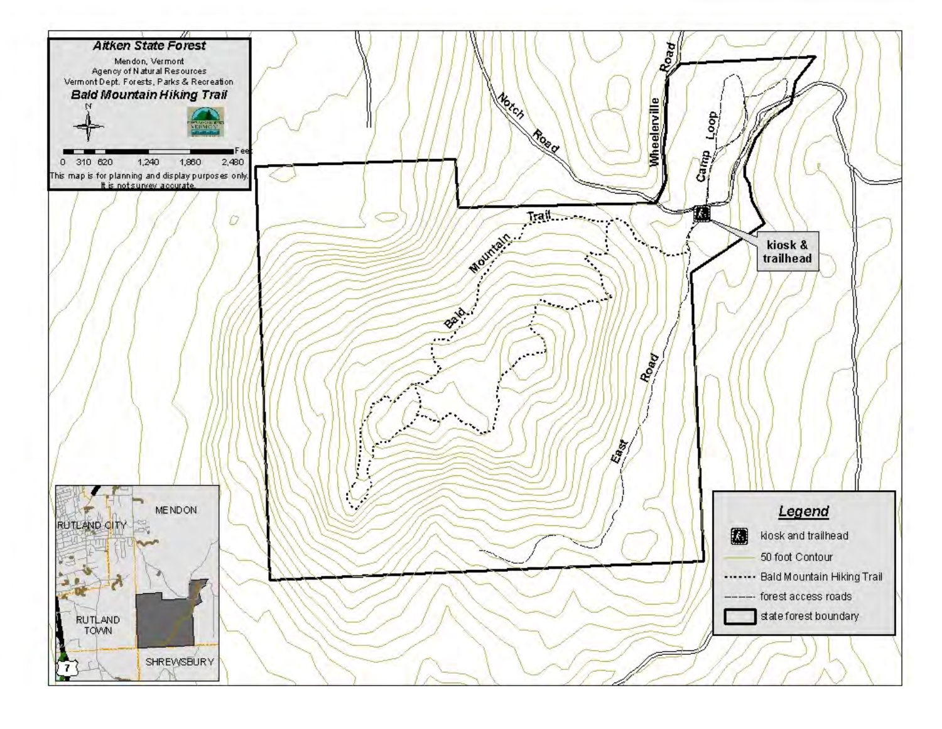